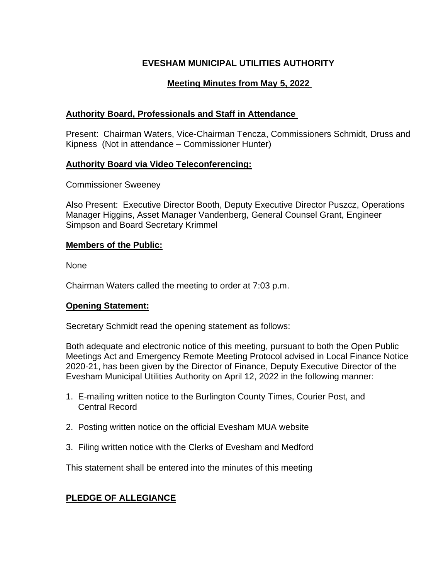# **EVESHAM MUNICIPAL UTILITIES AUTHORITY**

# **Meeting Minutes from May 5, 2022**

## **Authority Board, Professionals and Staff in Attendance**

Present: Chairman Waters, Vice-Chairman Tencza, Commissioners Schmidt, Druss and Kipness (Not in attendance – Commissioner Hunter)

## **Authority Board via Video Teleconferencing:**

Commissioner Sweeney

Also Present: Executive Director Booth, Deputy Executive Director Puszcz, Operations Manager Higgins, Asset Manager Vandenberg, General Counsel Grant, Engineer Simpson and Board Secretary Krimmel

## **Members of the Public:**

None

Chairman Waters called the meeting to order at 7:03 p.m.

### **Opening Statement:**

Secretary Schmidt read the opening statement as follows:

Both adequate and electronic notice of this meeting, pursuant to both the Open Public Meetings Act and Emergency Remote Meeting Protocol advised in Local Finance Notice 2020-21, has been given by the Director of Finance, Deputy Executive Director of the Evesham Municipal Utilities Authority on April 12, 2022 in the following manner:

- 1. E-mailing written notice to the Burlington County Times, Courier Post, and Central Record
- 2. Posting written notice on the official Evesham MUA website
- 3. Filing written notice with the Clerks of Evesham and Medford

This statement shall be entered into the minutes of this meeting

# **PLEDGE OF ALLEGIANCE**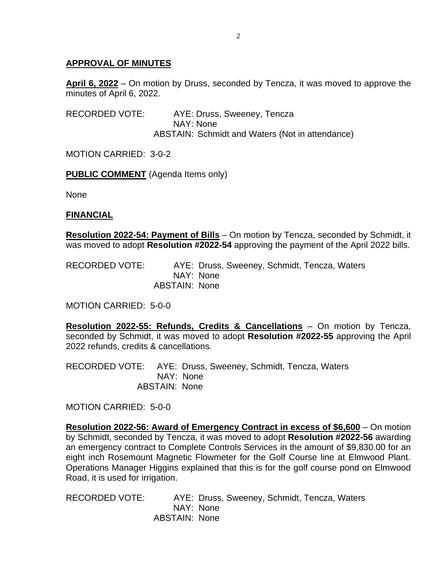## **APPROVAL OF MINUTES**

**April 6, 2022** – On motion by Druss, seconded by Tencza, it was moved to approve the minutes of April 6, 2022.

RECORDED VOTE: AYE: Druss, Sweeney, Tencza NAY: None ABSTAIN: Schmidt and Waters (Not in attendance)

MOTION CARRIED: 3-0-2

**PUBLIC COMMENT** (Agenda Items only)

None

### **FINANCIAL**

**Resolution 2022-54: Payment of Bills** – On motion by Tencza, seconded by Schmidt, it was moved to adopt **Resolution #2022-54** approving the payment of the April 2022 bills.

RECORDED VOTE: AYE: Druss, Sweeney, Schmidt, Tencza, Waters NAY: None ABSTAIN: None

MOTION CARRIED: 5-0-0

**Resolution 2022-55: Refunds, Credits & Cancellations** – On motion by Tencza, seconded by Schmidt, it was moved to adopt **Resolution #2022-55** approving the April 2022 refunds, credits & cancellations.

RECORDED VOTE: AYE: Druss, Sweeney, Schmidt, Tencza, Waters NAY: None ABSTAIN: None

MOTION CARRIED: 5-0-0

**Resolution 2022-56: Award of Emergency Contract in excess of \$6,600** – On motion by Schmidt, seconded by Tencza, it was moved to adopt **Resolution #2022-56** awarding an emergency contract to Complete Controls Services in the amount of \$9,830.00 for an eight inch Rosemount Magnetic Flowmeter for the Golf Course line at Elmwood Plant. Operations Manager Higgins explained that this is for the golf course pond on Elmwood Road, it is used for irrigation.

RECORDED VOTE: AYE: Druss, Sweeney, Schmidt, Tencza, Waters NAY: None ABSTAIN: None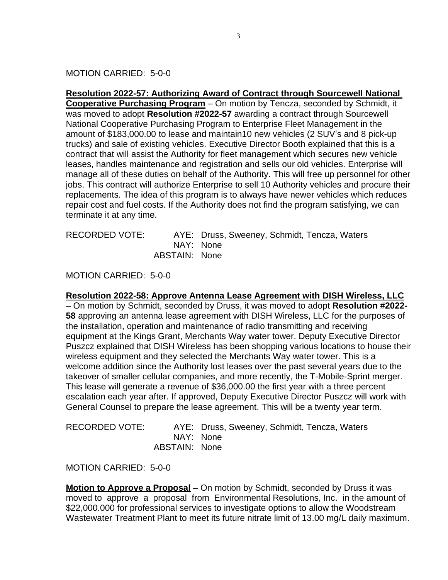MOTION CARRIED: 5-0-0

**Resolution 2022-57: Authorizing Award of Contract through Sourcewell National Cooperative Purchasing Program** – On motion by Tencza, seconded by Schmidt, it was moved to adopt **Resolution #2022-57** awarding a contract through Sourcewell National Cooperative Purchasing Program to Enterprise Fleet Management in the amount of \$183,000.00 to lease and maintain10 new vehicles (2 SUV's and 8 pick-up trucks) and sale of existing vehicles. Executive Director Booth explained that this is a contract that will assist the Authority for fleet management which secures new vehicle leases, handles maintenance and registration and sells our old vehicles. Enterprise will manage all of these duties on behalf of the Authority. This will free up personnel for other jobs. This contract will authorize Enterprise to sell 10 Authority vehicles and procure their replacements. The idea of this program is to always have newer vehicles which reduces repair cost and fuel costs. If the Authority does not find the program satisfying, we can terminate it at any time.

| RECORDED VOTE: |               | AYE: Druss, Sweeney, Schmidt, Tencza, Waters |
|----------------|---------------|----------------------------------------------|
|                |               | NAY: None                                    |
|                | ABSTAIN: None |                                              |

MOTION CARRIED: 5-0-0

**Resolution 2022-58: Approve Antenna Lease Agreement with DISH Wireless, LLC** – On motion by Schmidt, seconded by Druss, it was moved to adopt **Resolution #2022-**

**58** approving an antenna lease agreement with DISH Wireless, LLC for the purposes of the installation, operation and maintenance of radio transmitting and receiving equipment at the Kings Grant, Merchants Way water tower. Deputy Executive Director Puszcz explained that DISH Wireless has been shopping various locations to house their wireless equipment and they selected the Merchants Way water tower. This is a welcome addition since the Authority lost leases over the past several years due to the takeover of smaller cellular companies, and more recently, the T-Mobile-Sprint merger. This lease will generate a revenue of \$36,000.00 the first year with a three percent escalation each year after. If approved, Deputy Executive Director Puszcz will work with General Counsel to prepare the lease agreement. This will be a twenty year term.

| <b>RECORDED VOTE:</b> |  |
|-----------------------|--|
|-----------------------|--|

AYE: Druss, Sweeney, Schmidt, Tencza, Waters NAY: None ABSTAIN: None

MOTION CARRIED: 5-0-0

**Motion to Approve a Proposal** – On motion by Schmidt, seconded by Druss it was moved to approve a proposal from Environmental Resolutions, Inc. in the amount of \$22,000.000 for professional services to investigate options to allow the Woodstream Wastewater Treatment Plant to meet its future nitrate limit of 13.00 mg/L daily maximum.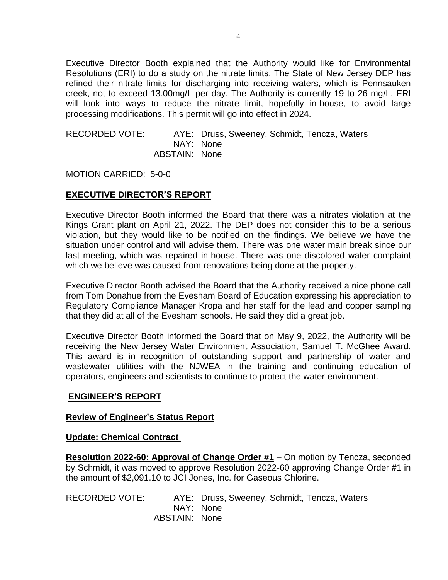Executive Director Booth explained that the Authority would like for Environmental Resolutions (ERI) to do a study on the nitrate limits. The State of New Jersey DEP has refined their nitrate limits for discharging into receiving waters, which is Pennsauken creek, not to exceed 13.00mg/L per day. The Authority is currently 19 to 26 mg/L. ERI will look into ways to reduce the nitrate limit, hopefully in-house, to avoid large processing modifications. This permit will go into effect in 2024.

#### RECORDED VOTE: AYE: Druss, Sweeney, Schmidt, Tencza, Waters NAY: None ABSTAIN: None

MOTION CARRIED: 5-0-0

## **EXECUTIVE DIRECTOR'S REPORT**

Executive Director Booth informed the Board that there was a nitrates violation at the Kings Grant plant on April 21, 2022. The DEP does not consider this to be a serious violation, but they would like to be notified on the findings. We believe we have the situation under control and will advise them. There was one water main break since our last meeting, which was repaired in-house. There was one discolored water complaint which we believe was caused from renovations being done at the property.

Executive Director Booth advised the Board that the Authority received a nice phone call from Tom Donahue from the Evesham Board of Education expressing his appreciation to Regulatory Compliance Manager Kropa and her staff for the lead and copper sampling that they did at all of the Evesham schools. He said they did a great job.

Executive Director Booth informed the Board that on May 9, 2022, the Authority will be receiving the New Jersey Water Environment Association, Samuel T. McGhee Award. This award is in recognition of outstanding support and partnership of water and wastewater utilities with the NJWEA in the training and continuing education of operators, engineers and scientists to continue to protect the water environment.

### **ENGINEER'S REPORT**

#### **Review of Engineer's Status Report**

#### **Update: Chemical Contract**

**Resolution 2022-60: Approval of Change Order #1** – On motion by Tencza, seconded by Schmidt, it was moved to approve Resolution 2022-60 approving Change Order #1 in the amount of \$2,091.10 to JCI Jones, Inc. for Gaseous Chlorine.

RECORDED VOTE: AYE: Druss, Sweeney, Schmidt, Tencza, Waters NAY: None ABSTAIN: None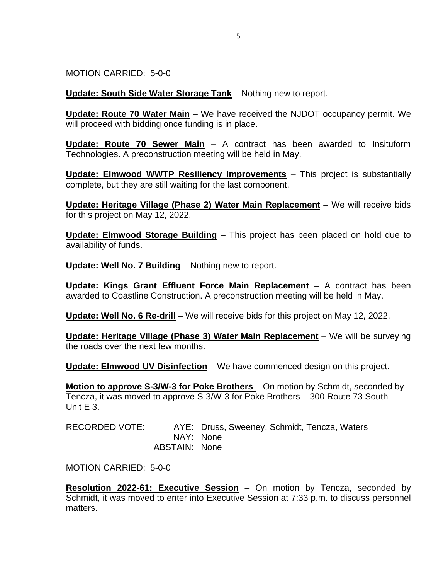MOTION CARRIED: 5-0-0

**Update: South Side Water Storage Tank** – Nothing new to report.

**Update: Route 70 Water Main** – We have received the NJDOT occupancy permit. We will proceed with bidding once funding is in place.

**Update: Route 70 Sewer Main** – A contract has been awarded to Insituform Technologies. A preconstruction meeting will be held in May.

**Update: Elmwood WWTP Resiliency Improvements** – This project is substantially complete, but they are still waiting for the last component.

**Update: Heritage Village (Phase 2) Water Main Replacement** – We will receive bids for this project on May 12, 2022.

**Update: Elmwood Storage Building** – This project has been placed on hold due to availability of funds.

**Update: Well No. 7 Building** – Nothing new to report.

**Update: Kings Grant Effluent Force Main Replacement** – A contract has been awarded to Coastline Construction. A preconstruction meeting will be held in May.

**Update: Well No. 6 Re-drill** – We will receive bids for this project on May 12, 2022.

**Update: Heritage Village (Phase 3) Water Main Replacement** – We will be surveying the roads over the next few months.

**Update: Elmwood UV Disinfection** – We have commenced design on this project.

**Motion to approve S-3/W-3 for Poke Brothers** – On motion by Schmidt, seconded by Tencza, it was moved to approve S-3/W-3 for Poke Brothers – 300 Route 73 South – Unit E 3.

RECORDED VOTE: AYE: Druss, Sweeney, Schmidt, Tencza, Waters NAY: None ABSTAIN: None

MOTION CARRIED: 5-0-0

**Resolution 2022-61: Executive Session** – On motion by Tencza, seconded by Schmidt, it was moved to enter into Executive Session at 7:33 p.m. to discuss personnel matters.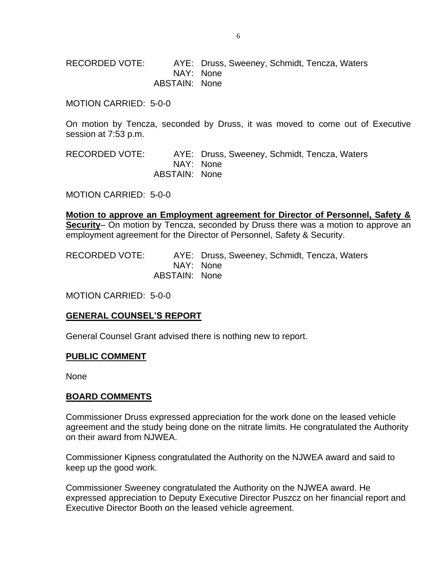RECORDED VOTE: AYE: Druss, Sweeney, Schmidt, Tencza, Waters NAY: None ABSTAIN: None

MOTION CARRIED: 5-0-0

On motion by Tencza, seconded by Druss, it was moved to come out of Executive session at 7:53 p.m.

RECORDED VOTE: AYE: Druss, Sweeney, Schmidt, Tencza, Waters NAY: None ABSTAIN: None

MOTION CARRIED: 5-0-0

**Motion to approve an Employment agreement for Director of Personnel, Safety & Security**– On motion by Tencza, seconded by Druss there was a motion to approve an employment agreement for the Director of Personnel, Safety & Security.

RECORDED VOTE: AYE: Druss, Sweeney, Schmidt, Tencza, Waters NAY: None ABSTAIN: None

MOTION CARRIED: 5-0-0

#### **GENERAL COUNSEL'S REPORT**

General Counsel Grant advised there is nothing new to report.

#### **PUBLIC COMMENT**

None

#### **BOARD COMMENTS**

Commissioner Druss expressed appreciation for the work done on the leased vehicle agreement and the study being done on the nitrate limits. He congratulated the Authority on their award from NJWEA.

Commissioner Kipness congratulated the Authority on the NJWEA award and said to keep up the good work.

Commissioner Sweeney congratulated the Authority on the NJWEA award. He expressed appreciation to Deputy Executive Director Puszcz on her financial report and Executive Director Booth on the leased vehicle agreement.